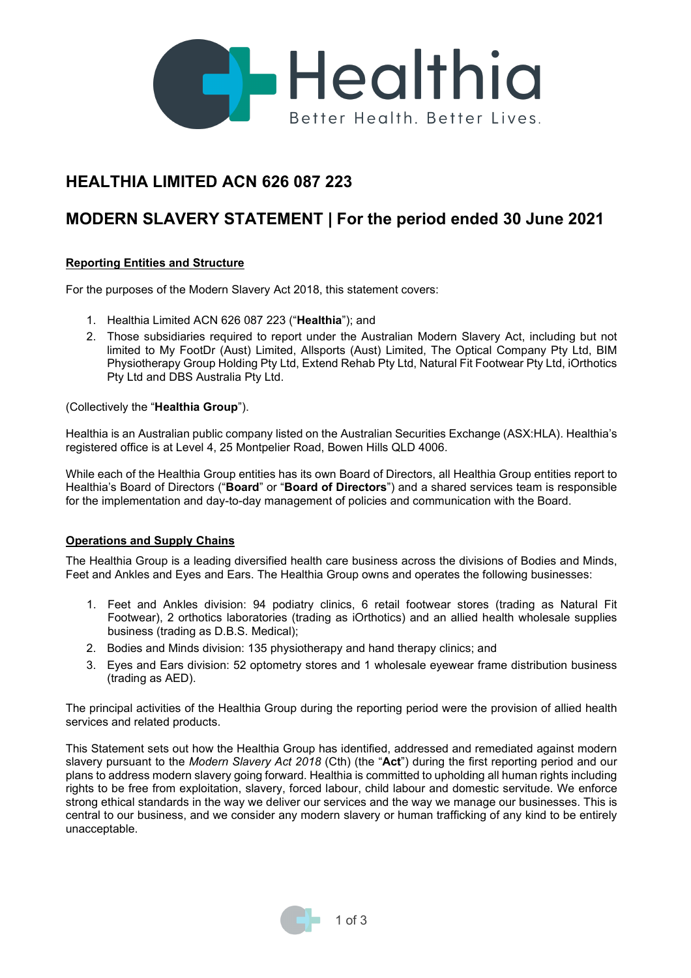

## **HEALTHIA LIMITED ACN 626 087 223**

# **MODERN SLAVERY STATEMENT | For the period ended 30 June 2021**

### **Reporting Entities and Structure**

For the purposes of the Modern Slavery Act 2018, this statement covers:

- 1. Healthia Limited ACN 626 087 223 ("**Healthia**"); and
- 2. Those subsidiaries required to report under the Australian Modern Slavery Act, including but not limited to My FootDr (Aust) Limited, Allsports (Aust) Limited, The Optical Company Pty Ltd, BIM Physiotherapy Group Holding Pty Ltd, Extend Rehab Pty Ltd, Natural Fit Footwear Pty Ltd, iOrthotics Pty Ltd and DBS Australia Pty Ltd.

(Collectively the "**Healthia Group**").

Healthia is an Australian public company listed on the Australian Securities Exchange (ASX:HLA). Healthia's registered office is at Level 4, 25 Montpelier Road, Bowen Hills QLD 4006.

While each of the Healthia Group entities has its own Board of Directors, all Healthia Group entities report to Healthia's Board of Directors ("**Board**" or "**Board of Directors**") and a shared services team is responsible for the implementation and day-to-day management of policies and communication with the Board.

#### **Operations and Supply Chains**

The Healthia Group is a leading diversified health care business across the divisions of Bodies and Minds, Feet and Ankles and Eyes and Ears. The Healthia Group owns and operates the following businesses:

- 1. Feet and Ankles division: 94 podiatry clinics, 6 retail footwear stores (trading as Natural Fit Footwear), 2 orthotics laboratories (trading as iOrthotics) and an allied health wholesale supplies business (trading as D.B.S. Medical);
- 2. Bodies and Minds division: 135 physiotherapy and hand therapy clinics; and
- 3. Eyes and Ears division: 52 optometry stores and 1 wholesale eyewear frame distribution business (trading as AED).

The principal activities of the Healthia Group during the reporting period were the provision of allied health services and related products.

This Statement sets out how the Healthia Group has identified, addressed and remediated against modern slavery pursuant to the *Modern Slavery Act 2018* (Cth) (the "**Act**") during the first reporting period and our plans to address modern slavery going forward. Healthia is committed to upholding all human rights including rights to be free from exploitation, slavery, forced labour, child labour and domestic servitude. We enforce strong ethical standards in the way we deliver our services and the way we manage our businesses. This is central to our business, and we consider any modern slavery or human trafficking of any kind to be entirely unacceptable.

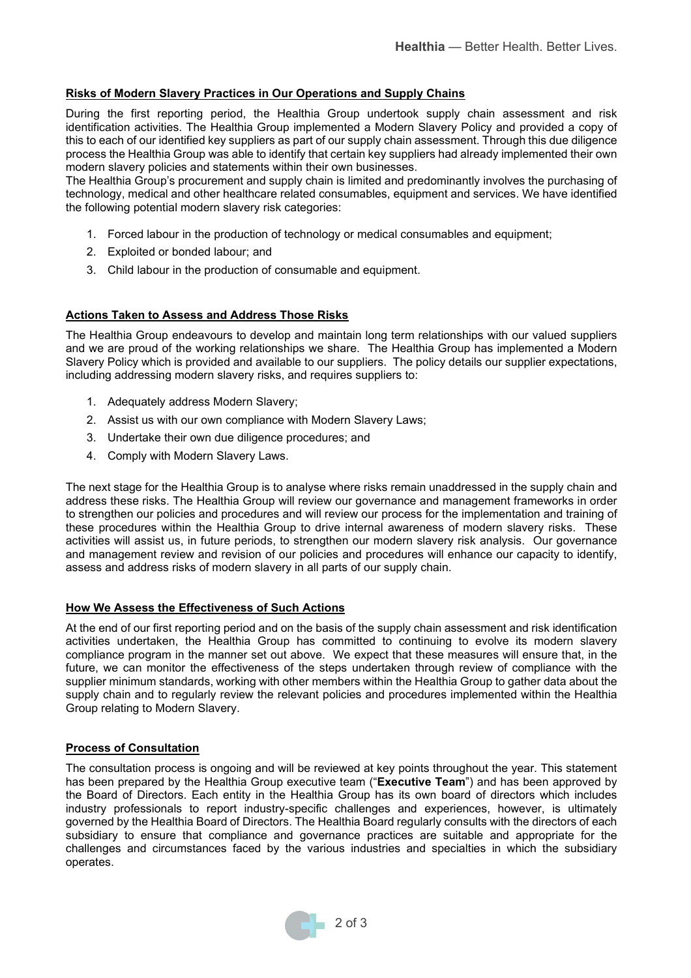#### **Risks of Modern Slavery Practices in Our Operations and Supply Chains**

During the first reporting period, the Healthia Group undertook supply chain assessment and risk identification activities. The Healthia Group implemented a Modern Slavery Policy and provided a copy of this to each of our identified key suppliers as part of our supply chain assessment. Through this due diligence process the Healthia Group was able to identify that certain key suppliers had already implemented their own modern slavery policies and statements within their own businesses.

The Healthia Group's procurement and supply chain is limited and predominantly involves the purchasing of technology, medical and other healthcare related consumables, equipment and services. We have identified the following potential modern slavery risk categories:

- 1. Forced labour in the production of technology or medical consumables and equipment;
- 2. Exploited or bonded labour; and
- 3. Child labour in the production of consumable and equipment.

#### **Actions Taken to Assess and Address Those Risks**

The Healthia Group endeavours to develop and maintain long term relationships with our valued suppliers and we are proud of the working relationships we share. The Healthia Group has implemented a Modern Slavery Policy which is provided and available to our suppliers. The policy details our supplier expectations, including addressing modern slavery risks, and requires suppliers to:

- 1. Adequately address Modern Slavery;
- 2. Assist us with our own compliance with Modern Slavery Laws;
- 3. Undertake their own due diligence procedures; and
- 4. Comply with Modern Slavery Laws.

The next stage for the Healthia Group is to analyse where risks remain unaddressed in the supply chain and address these risks. The Healthia Group will review our governance and management frameworks in order to strengthen our policies and procedures and will review our process for the implementation and training of these procedures within the Healthia Group to drive internal awareness of modern slavery risks. These activities will assist us, in future periods, to strengthen our modern slavery risk analysis. Our governance and management review and revision of our policies and procedures will enhance our capacity to identify, assess and address risks of modern slavery in all parts of our supply chain.

#### **How We Assess the Effectiveness of Such Actions**

At the end of our first reporting period and on the basis of the supply chain assessment and risk identification activities undertaken, the Healthia Group has committed to continuing to evolve its modern slavery compliance program in the manner set out above. We expect that these measures will ensure that, in the future, we can monitor the effectiveness of the steps undertaken through review of compliance with the supplier minimum standards, working with other members within the Healthia Group to gather data about the supply chain and to regularly review the relevant policies and procedures implemented within the Healthia Group relating to Modern Slavery.

#### **Process of Consultation**

The consultation process is ongoing and will be reviewed at key points throughout the year. This statement has been prepared by the Healthia Group executive team ("**Executive Team**") and has been approved by the Board of Directors. Each entity in the Healthia Group has its own board of directors which includes industry professionals to report industry-specific challenges and experiences, however, is ultimately governed by the Healthia Board of Directors. The Healthia Board regularly consults with the directors of each subsidiary to ensure that compliance and governance practices are suitable and appropriate for the challenges and circumstances faced by the various industries and specialties in which the subsidiary operates.